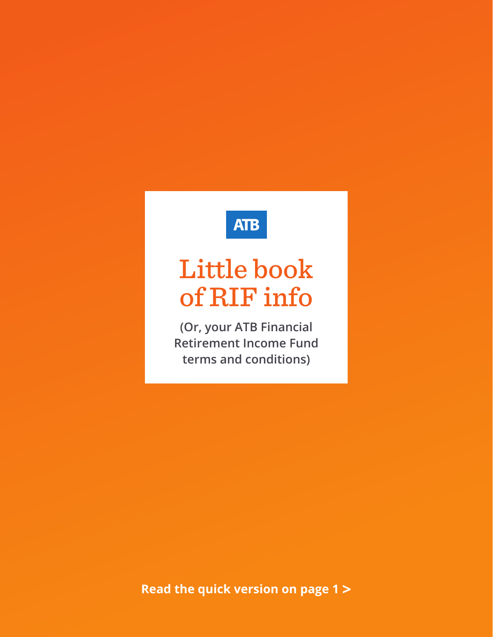# **ATB**

# Little book of RIF info

**(Or, your ATB Financial Retirement Income Fund terms and conditions)**

**Read the quick version on page 1 >**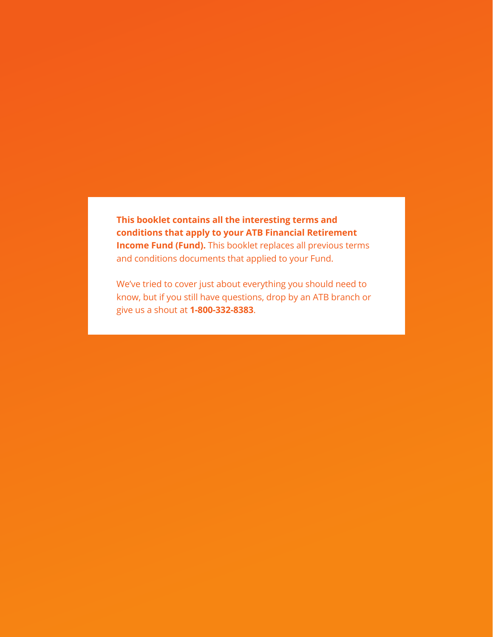**This booklet contains all the interesting terms and conditions that apply to your ATB Financial Retirement Income Fund (Fund).** This booklet replaces all previous terms and conditions documents that applied to your Fund.

We've tried to cover just about everything you should need to know, but if you still have questions, drop by an ATB branch or give us a shout at **1-800-332-8383**.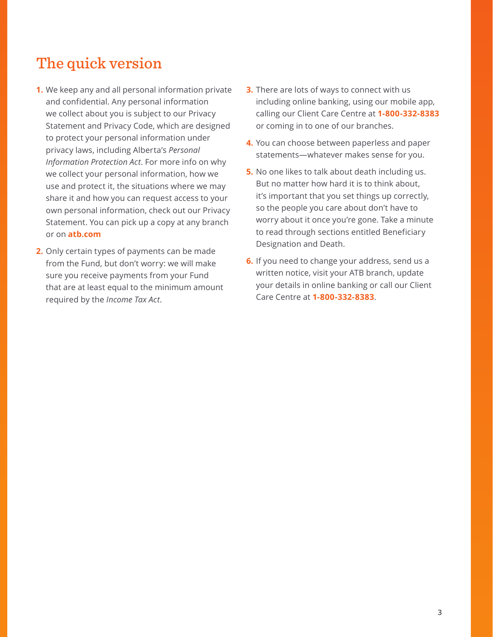# The quick version

- **1.** We keep any and all personal information private and confidential. Any personal information we collect about you is subject to our Privacy Statement and Privacy Code, which are designed to protect your personal information under privacy laws, including Alberta's *Personal Information Protection Act*. For more info on why we collect your personal information, how we use and protect it, the situations where we may share it and how you can request access to your own personal information, check out our Privacy Statement. You can pick up a copy at any branch or on **atb.com**
- **2.** Only certain types of payments can be made from the Fund, but don't worry: we will make sure you receive payments from your Fund that are at least equal to the minimum amount required by the *Income Tax Act*.
- **3.** There are lots of ways to connect with us including online banking, using our mobile app, calling our Client Care Centre at **1-800-332-8383** or coming in to one of our branches.
- **4.** You can choose between paperless and paper statements—whatever makes sense for you.
- **5.** No one likes to talk about death including us. But no matter how hard it is to think about, it's important that you set things up correctly, so the people you care about don't have to worry about it once you're gone. Take a minute to read through sections entitled Beneficiary Designation and Death.
- **6.** If you need to change your address, send us a written notice, visit your ATB branch, update your details in online banking or call our Client Care Centre at **1-800-332-8383**.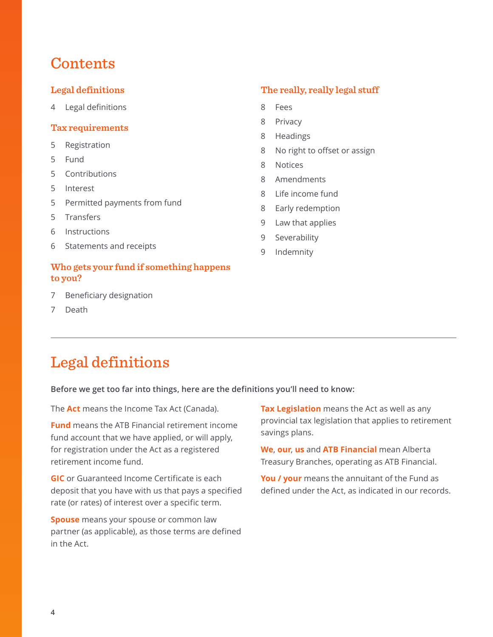# **Contents**

# **Legal definitions**

4 Legal definitions

### **[Tax requirements](#page-4-0)**

- 5 [Registration](#page-4-0)
- 5 [Fund](#page-4-0)
- 5 [Contributions](#page-4-0)
- 5 [Interest](#page-4-0)
- 5 [Permitted payments from fund](#page-4-0)
- 5 [Transfers](#page-4-0)
- 6 [Instructions](#page-5-0)
- 6 [Statements and receipts](#page-5-0)

# **[Who gets your fund if something happens](#page-6-0)  [to you?](#page-6-0)**

- 7 [Beneficiary designation](#page-6-0)
- 7 [Death](#page-6-0)

# **[The really, really legal stuff](#page-7-0)**

- 8 [Fees](#page-7-0)
- 8 [Privacy](#page-7-0)
- 8 [Headings](#page-7-0)
- 8 [No right to offset or assign](#page-7-0)
- 8 [Notices](#page-7-0)
- 8 [Amendments](#page-7-0)
- 8 [Life income fund](#page-7-0)
- 8 [Early redemption](#page-7-0)
- 9 [Law that applies](#page-8-0)
- 9 [Severability](#page-8-0)
- 9 [Indemnity](#page-8-0)

# Legal definitions

**Before we get too far into things, here are the definitions you'll need to know:**

The **Act** means the Income Tax Act (Canada).

**Fund** means the ATB Financial retirement income fund account that we have applied, or will apply, for registration under the Act as a registered retirement income fund.

**GIC** or Guaranteed Income Certificate is each deposit that you have with us that pays a specified rate (or rates) of interest over a specific term.

**Spouse** means your spouse or common law partner (as applicable), as those terms are defined in the Act.

**Tax Legislation** means the Act as well as any provincial tax legislation that applies to retirement savings plans.

**We**, **our**, **us** and **ATB Financial** mean Alberta Treasury Branches, operating as ATB Financial.

**You / your** means the annuitant of the Fund as defined under the Act, as indicated in our records.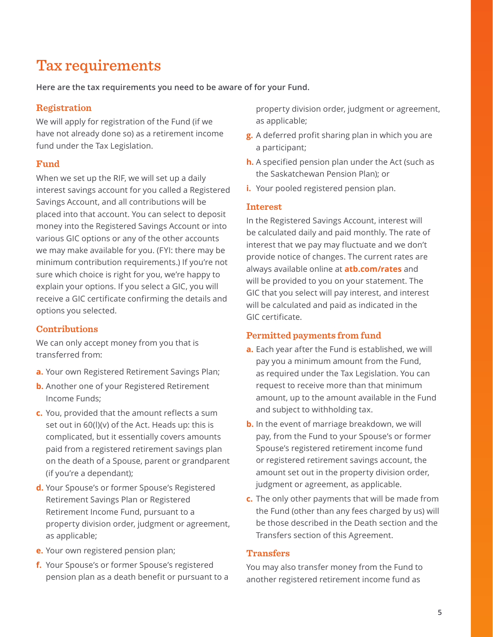# <span id="page-4-0"></span>Tax requirements

**Here are the tax requirements you need to be aware of for your Fund.**

# **Registration**

We will apply for registration of the Fund (if we have not already done so) as a retirement income fund under the Tax Legislation.

# **Fund**

When we set up the RIF, we will set up a daily interest savings account for you called a Registered Savings Account, and all contributions will be placed into that account. You can select to deposit money into the Registered Savings Account or into various GIC options or any of the other accounts we may make available for you. (FYI: there may be minimum contribution requirements.) If you're not sure which choice is right for you, we're happy to explain your options. If you select a GIC, you will receive a GIC certificate confirming the details and options you selected.

# **Contributions**

We can only accept money from you that is transferred from:

- **a.** Your own Registered Retirement Savings Plan;
- **b.** Another one of your Registered Retirement Income Funds;
- **c.** You, provided that the amount reflects a sum set out in 60(l)(v) of the Act. Heads up: this is complicated, but it essentially covers amounts paid from a registered retirement savings plan on the death of a Spouse, parent or grandparent (if you're a dependant);
- **d.** Your Spouse's or former Spouse's Registered Retirement Savings Plan or Registered Retirement Income Fund, pursuant to a property division order, judgment or agreement, as applicable;
- **e.** Your own registered pension plan;
- **f.** Your Spouse's or former Spouse's registered pension plan as a death benefit or pursuant to a

property division order, judgment or agreement, as applicable;

- **g.** A deferred profit sharing plan in which you are a participant;
- **h.** A specified pension plan under the Act (such as the Saskatchewan Pension Plan); or
- **i.** Your pooled registered pension plan.

### **Interest**

In the Registered Savings Account, interest will be calculated daily and paid monthly. The rate of interest that we pay may fluctuate and we don't provide notice of changes. The current rates are always available online at **atb.com/rates** and will be provided to you on your statement. The GIC that you select will pay interest, and interest will be calculated and paid as indicated in the GIC certificate.

### **Permitted payments from fund**

- **a.** Each year after the Fund is established, we will pay you a minimum amount from the Fund, as required under the Tax Legislation. You can request to receive more than that minimum amount, up to the amount available in the Fund and subject to withholding tax.
- **b.** In the event of marriage breakdown, we will pay, from the Fund to your Spouse's or former Spouse's registered retirement income fund or registered retirement savings account, the amount set out in the property division order, judgment or agreement, as applicable.
- **c.** The only other payments that will be made from the Fund (other than any fees charged by us) will be those described in the Death section and the Transfers section of this Agreement.

# **Transfers**

You may also transfer money from the Fund to another registered retirement income fund as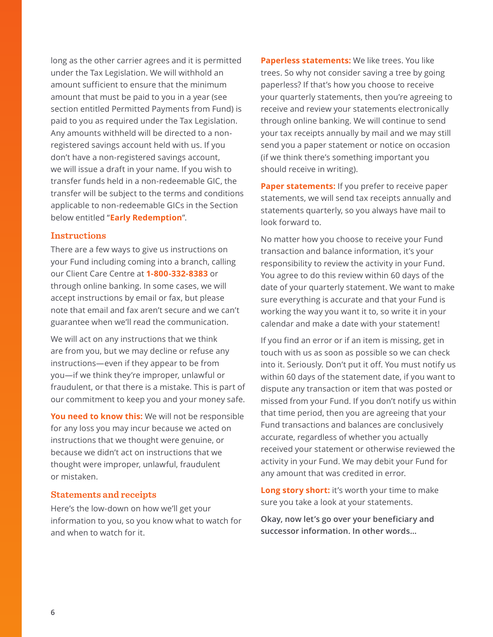<span id="page-5-0"></span>long as the other carrier agrees and it is permitted under the Tax Legislation. We will withhold an amount sufficient to ensure that the minimum amount that must be paid to you in a year (see section entitled Permitted Payments from Fund) is paid to you as required under the Tax Legislation. Any amounts withheld will be directed to a nonregistered savings account held with us. If you don't have a non-registered savings account, we will issue a draft in your name. If you wish to transfer funds held in a non-redeemable GIC, the transfer will be subject to the terms and conditions applicable to non-redeemable GICs in the Section below entitled "**Early Redemption**".

### **Instructions**

There are a few ways to give us instructions on your Fund including coming into a branch, calling our Client Care Centre at **1-800-332-8383** or through online banking. In some cases, we will accept instructions by email or fax, but please note that email and fax aren't secure and we can't guarantee when we'll read the communication.

We will act on any instructions that we think are from you, but we may decline or refuse any instructions—even if they appear to be from you—if we think they're improper, unlawful or fraudulent, or that there is a mistake. This is part of our commitment to keep you and your money safe.

**You need to know this:** We will not be responsible for any loss you may incur because we acted on instructions that we thought were genuine, or because we didn't act on instructions that we thought were improper, unlawful, fraudulent or mistaken.

### **Statements and receipts**

Here's the low-down on how we'll get your information to you, so you know what to watch for and when to watch for it.

**Paperless statements:** We like trees. You like trees. So why not consider saving a tree by going paperless? If that's how you choose to receive your quarterly statements, then you're agreeing to receive and review your statements electronically through online banking. We will continue to send your tax receipts annually by mail and we may still send you a paper statement or notice on occasion (if we think there's something important you should receive in writing).

**Paper statements:** If you prefer to receive paper statements, we will send tax receipts annually and statements quarterly, so you always have mail to look forward to.

No matter how you choose to receive your Fund transaction and balance information, it's your responsibility to review the activity in your Fund. You agree to do this review within 60 days of the date of your quarterly statement. We want to make sure everything is accurate and that your Fund is working the way you want it to, so write it in your calendar and make a date with your statement!

If you find an error or if an item is missing, get in touch with us as soon as possible so we can check into it. Seriously. Don't put it off. You must notify us within 60 days of the statement date, if you want to dispute any transaction or item that was posted or missed from your Fund. If you don't notify us within that time period, then you are agreeing that your Fund transactions and balances are conclusively accurate, regardless of whether you actually received your statement or otherwise reviewed the activity in your Fund. We may debit your Fund for any amount that was credited in error.

**Long story short:** it's worth your time to make sure you take a look at your statements.

**Okay, now let's go over your beneficiary and successor information. In other words…**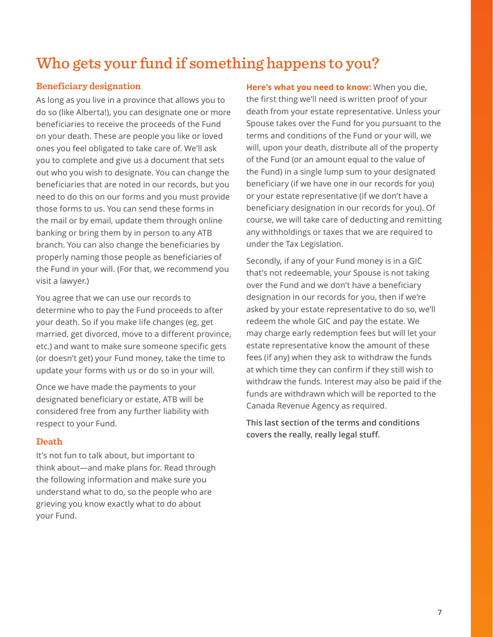# <span id="page-6-0"></span>Who gets your fund if something happens to you?

# **Beneficiary designation**

As long as you live in a province that allows you to do so (like Alberta!), you can designate one or more beneficiaries to receive the proceeds of the Fund on your death. These are people you like or loved ones you feel obligated to take care of. We'll ask you to complete and give us a document that sets out who you wish to designate. You can change the beneficiaries that are noted in our records, but you need to do this on our forms and you must provide those forms to us. You can send these forms in the mail or by email, update them through online banking or bring them by in person to any ATB branch. You can also change the beneficiaries by properly naming those people as beneficiaries of the Fund in your will. (For that, we recommend you visit a lawyer.)

You agree that we can use our records to determine who to pay the Fund proceeds to after your death. So if you make life changes (eg, get married, get divorced, move to a different province, etc.) and want to make sure someone specific gets (or doesn't get) your Fund money, take the time to update your forms with us or do so in your will.

Once we have made the payments to your designated beneficiary or estate, ATB will be considered free from any further liability with respect to your Fund.

### **Death**

It's not fun to talk about, but important to think about—and make plans for. Read through the following information and make sure you understand what to do, so the people who are grieving you know exactly what to do about your Fund.

**Here's what you need to know:** When you die, the first thing we'll need is written proof of your death from your estate representative. Unless your Spouse takes over the Fund for you pursuant to the terms and conditions of the Fund or your will, we will, upon your death, distribute all of the property of the Fund (or an amount equal to the value of the Fund) in a single lump sum to your designated beneficiary (if we have one in our records for you) or your estate representative (if we don't have a beneficiary designation in our records for you). Of course, we will take care of deducting and remitting any withholdings or taxes that we are required to under the Tax Legislation.

Secondly, if any of your Fund money is in a GIC that's not redeemable, your Spouse is not taking over the Fund and we don't have a beneficiary designation in our records for you, then if we're asked by your estate representative to do so, we'll redeem the whole GIC and pay the estate. We may charge early redemption fees but will let your estate representative know the amount of these fees (if any) when they ask to withdraw the funds at which time they can confirm if they still wish to withdraw the funds. Interest may also be paid if the funds are withdrawn which will be reported to the Canada Revenue Agency as required.

**This last section of the terms and conditions covers the really, really legal stuff.**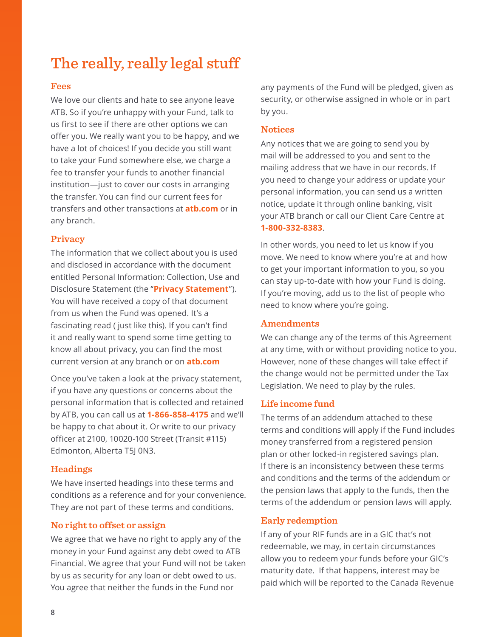# <span id="page-7-0"></span>The really, really legal stuff

### **Fees**

We love our clients and hate to see anyone leave ATB. So if you're unhappy with your Fund, talk to us first to see if there are other options we can offer you. We really want you to be happy, and we have a lot of choices! If you decide you still want to take your Fund somewhere else, we charge a fee to transfer your funds to another financial institution—just to cover our costs in arranging the transfer. You can find our current fees for transfers and other transactions at **atb.com** or in any branch.

### **Privacy**

The information that we collect about you is used and disclosed in accordance with the document entitled Personal Information: Collection, Use and Disclosure Statement (the "**Privacy Statement**"). You will have received a copy of that document from us when the Fund was opened. It's a fascinating read ( just like this). If you can't find it and really want to spend some time getting to know all about privacy, you can find the most current version at any branch or on **atb.com**

Once you've taken a look at the privacy statement, if you have any questions or concerns about the personal information that is collected and retained by ATB, you can call us at **1-866-858-4175** and we'll be happy to chat about it. Or write to our privacy officer at 2100, 10020-100 Street (Transit #115) Edmonton, Alberta T5J 0N3.

### **Headings**

We have inserted headings into these terms and conditions as a reference and for your convenience. They are not part of these terms and conditions.

### **No right to offset or assign**

We agree that we have no right to apply any of the money in your Fund against any debt owed to ATB Financial. We agree that your Fund will not be taken by us as security for any loan or debt owed to us. You agree that neither the funds in the Fund nor

any payments of the Fund will be pledged, given as security, or otherwise assigned in whole or in part by you.

### **Notices**

Any notices that we are going to send you by mail will be addressed to you and sent to the mailing address that we have in our records. If you need to change your address or update your personal information, you can send us a written notice, update it through online banking, visit your ATB branch or call our Client Care Centre at **1-800-332-8383**.

In other words, you need to let us know if you move. We need to know where you're at and how to get your important information to you, so you can stay up-to-date with how your Fund is doing. If you're moving, add us to the list of people who need to know where you're going.

### **Amendments**

We can change any of the terms of this Agreement at any time, with or without providing notice to you. However, none of these changes will take effect if the change would not be permitted under the Tax Legislation. We need to play by the rules.

### **Life income fund**

The terms of an addendum attached to these terms and conditions will apply if the Fund includes money transferred from a registered pension plan or other locked-in registered savings plan. If there is an inconsistency between these terms and conditions and the terms of the addendum or the pension laws that apply to the funds, then the terms of the addendum or pension laws will apply.

### **Early redemption**

If any of your RIF funds are in a GIC that's not redeemable, we may, in certain circumstances allow you to redeem your funds before your GIC's maturity date. If that happens, interest may be paid which will be reported to the Canada Revenue